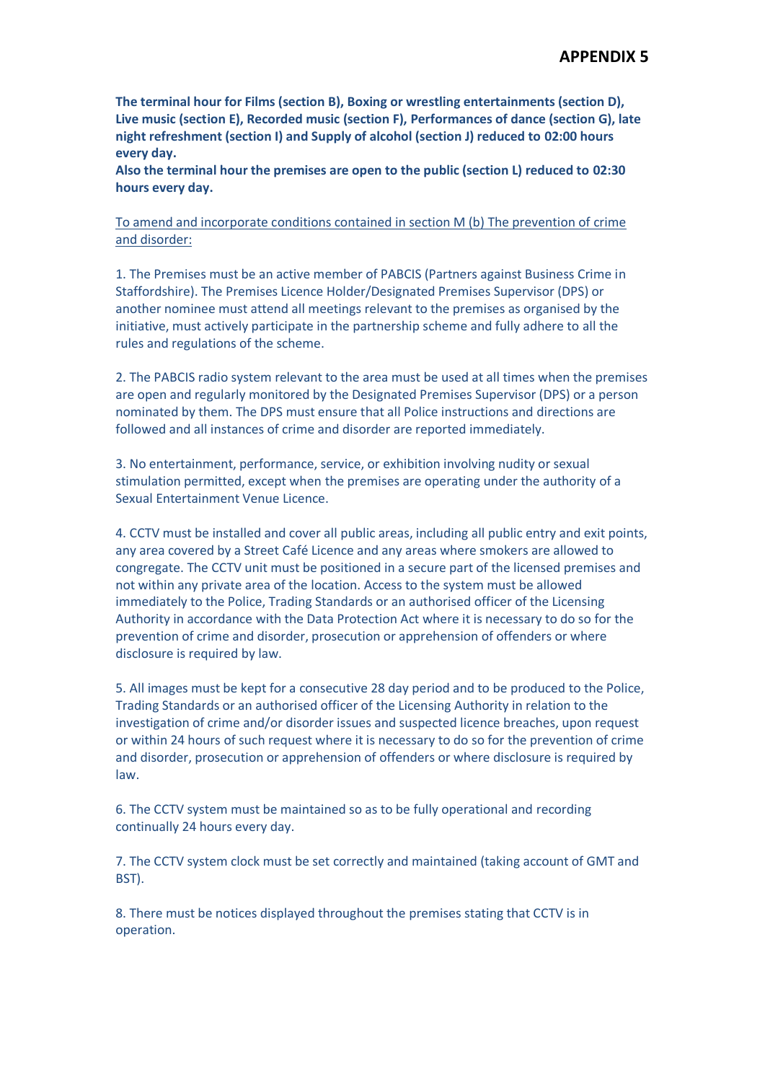**The terminal hour for Films (section B), Boxing or wrestling entertainments (section D), Live music (section E), Recorded music (section F), Performances of dance (section G), late night refreshment (section I) and Supply of alcohol (section J) reduced to 02:00 hours every day.**

**Also the terminal hour the premises are open to the public (section L) reduced to 02:30 hours every day.**

To amend and incorporate conditions contained in section M (b) The prevention of crime and disorder:

1. The Premises must be an active member of PABCIS (Partners against Business Crime in Staffordshire). The Premises Licence Holder/Designated Premises Supervisor (DPS) or another nominee must attend all meetings relevant to the premises as organised by the initiative, must actively participate in the partnership scheme and fully adhere to all the rules and regulations of the scheme.

2. The PABCIS radio system relevant to the area must be used at all times when the premises are open and regularly monitored by the Designated Premises Supervisor (DPS) or a person nominated by them. The DPS must ensure that all Police instructions and directions are followed and all instances of crime and disorder are reported immediately.

3. No entertainment, performance, service, or exhibition involving nudity or sexual stimulation permitted, except when the premises are operating under the authority of a Sexual Entertainment Venue Licence.

4. CCTV must be installed and cover all public areas, including all public entry and exit points, any area covered by a Street Café Licence and any areas where smokers are allowed to congregate. The CCTV unit must be positioned in a secure part of the licensed premises and not within any private area of the location. Access to the system must be allowed immediately to the Police, Trading Standards or an authorised officer of the Licensing Authority in accordance with the Data Protection Act where it is necessary to do so for the prevention of crime and disorder, prosecution or apprehension of offenders or where disclosure is required by law.

5. All images must be kept for a consecutive 28 day period and to be produced to the Police, Trading Standards or an authorised officer of the Licensing Authority in relation to the investigation of crime and/or disorder issues and suspected licence breaches, upon request or within 24 hours of such request where it is necessary to do so for the prevention of crime and disorder, prosecution or apprehension of offenders or where disclosure is required by law.

6. The CCTV system must be maintained so as to be fully operational and recording continually 24 hours every day.

7. The CCTV system clock must be set correctly and maintained (taking account of GMT and BST).

8. There must be notices displayed throughout the premises stating that CCTV is in operation.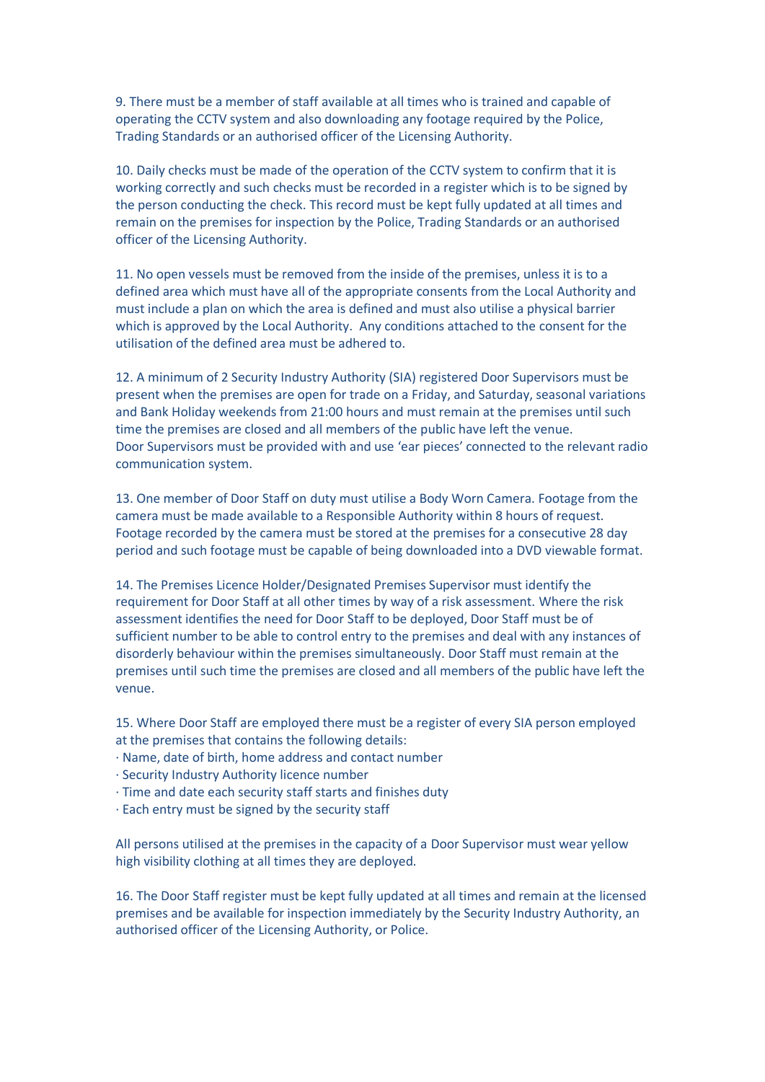9. There must be a member of staff available at all times who is trained and capable of operating the CCTV system and also downloading any footage required by the Police, Trading Standards or an authorised officer of the Licensing Authority.

10. Daily checks must be made of the operation of the CCTV system to confirm that it is working correctly and such checks must be recorded in a register which is to be signed by the person conducting the check. This record must be kept fully updated at all times and remain on the premises for inspection by the Police, Trading Standards or an authorised officer of the Licensing Authority.

11. No open vessels must be removed from the inside of the premises, unless it is to a defined area which must have all of the appropriate consents from the Local Authority and must include a plan on which the area is defined and must also utilise a physical barrier which is approved by the Local Authority. Any conditions attached to the consent for the utilisation of the defined area must be adhered to.

12. A minimum of 2 Security Industry Authority (SIA) registered Door Supervisors must be present when the premises are open for trade on a Friday, and Saturday, seasonal variations and Bank Holiday weekends from 21:00 hours and must remain at the premises until such time the premises are closed and all members of the public have left the venue. Door Supervisors must be provided with and use 'ear pieces' connected to the relevant radio communication system.

13. One member of Door Staff on duty must utilise a Body Worn Camera. Footage from the camera must be made available to a Responsible Authority within 8 hours of request. Footage recorded by the camera must be stored at the premises for a consecutive 28 day period and such footage must be capable of being downloaded into a DVD viewable format.

14. The Premises Licence Holder/Designated Premises Supervisor must identify the requirement for Door Staff at all other times by way of a risk assessment. Where the risk assessment identifies the need for Door Staff to be deployed, Door Staff must be of sufficient number to be able to control entry to the premises and deal with any instances of disorderly behaviour within the premises simultaneously. Door Staff must remain at the premises until such time the premises are closed and all members of the public have left the venue.

15. Where Door Staff are employed there must be a register of every SIA person employed at the premises that contains the following details:

· Name, date of birth, home address and contact number

· Security Industry Authority licence number

· Time and date each security staff starts and finishes duty

· Each entry must be signed by the security staff

All persons utilised at the premises in the capacity of a Door Supervisor must wear yellow high visibility clothing at all times they are deployed.

16. The Door Staff register must be kept fully updated at all times and remain at the licensed premises and be available for inspection immediately by the Security Industry Authority, an authorised officer of the Licensing Authority, or Police.